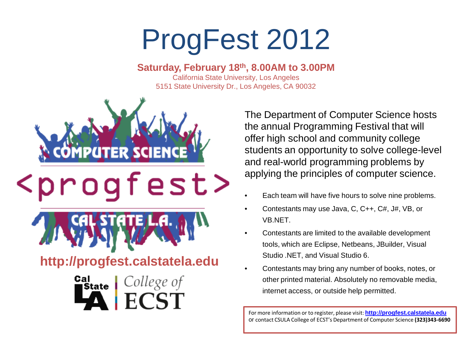## ProgFest 2012

## **Saturday, February 18th, 8.00AM to 3.00PM**

California State University, Los Angeles 5151 State University Dr., Los Angeles, CA 90032



The Department of Computer Science hosts the annual Programming Festival that will offer high school and community college students an opportunity to solve college-level and real-world programming problems by applying the principles of computer science.

- Each team will have five hours to solve nine problems.
- Contestants may use Java, C, C++, C#, J#, VB, or VB.NET.
- Contestants are limited to the available development tools, which are Eclipse, Netbeans, JBuilder, Visual Studio .NET, and Visual Studio 6.
- Contestants may bring any number of books, notes, or other printed material. Absolutely no removable media, internet access, or outside help permitted.

For more information or to register, please visit: **<http://progfest.calstatela.edu>** or contact CSULA College of ECST's Department of Computer Science **(323)343-6690**